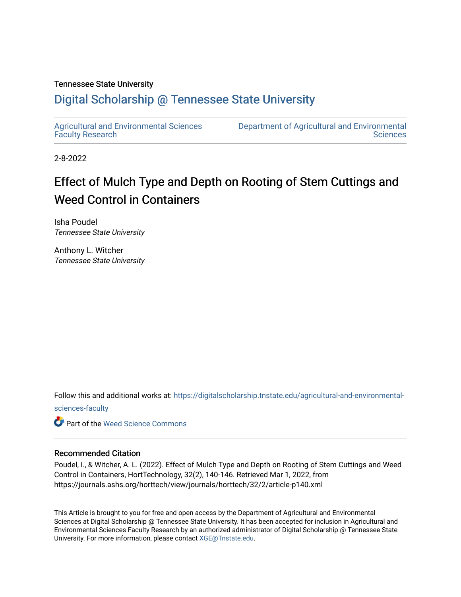### Tennessee State University

## [Digital Scholarship @ Tennessee State University](https://digitalscholarship.tnstate.edu/)

[Agricultural and Environmental Sciences](https://digitalscholarship.tnstate.edu/agricultural-and-environmental-sciences-faculty)  [Faculty Research](https://digitalscholarship.tnstate.edu/agricultural-and-environmental-sciences-faculty)

[Department of Agricultural and Environmental](https://digitalscholarship.tnstate.edu/agricultural-and-environmental-sciences)  **Sciences** 

2-8-2022

# Effect of Mulch Type and Depth on Rooting of Stem Cuttings and Weed Control in Containers

Isha Poudel Tennessee State University

Anthony L. Witcher Tennessee State University

Follow this and additional works at: [https://digitalscholarship.tnstate.edu/agricultural-and-environmental-](https://digitalscholarship.tnstate.edu/agricultural-and-environmental-sciences-faculty?utm_source=digitalscholarship.tnstate.edu%2Fagricultural-and-environmental-sciences-faculty%2F307&utm_medium=PDF&utm_campaign=PDFCoverPages)

[sciences-faculty](https://digitalscholarship.tnstate.edu/agricultural-and-environmental-sciences-faculty?utm_source=digitalscholarship.tnstate.edu%2Fagricultural-and-environmental-sciences-faculty%2F307&utm_medium=PDF&utm_campaign=PDFCoverPages)

**C** Part of the [Weed Science Commons](http://network.bepress.com/hgg/discipline/1267?utm_source=digitalscholarship.tnstate.edu%2Fagricultural-and-environmental-sciences-faculty%2F307&utm_medium=PDF&utm_campaign=PDFCoverPages)

### Recommended Citation

Poudel, I., & Witcher, A. L. (2022). Effect of Mulch Type and Depth on Rooting of Stem Cuttings and Weed Control in Containers, HortTechnology, 32(2), 140-146. Retrieved Mar 1, 2022, from https://journals.ashs.org/horttech/view/journals/horttech/32/2/article-p140.xml

This Article is brought to you for free and open access by the Department of Agricultural and Environmental Sciences at Digital Scholarship @ Tennessee State University. It has been accepted for inclusion in Agricultural and Environmental Sciences Faculty Research by an authorized administrator of Digital Scholarship @ Tennessee State University. For more information, please contact [XGE@Tnstate.edu](mailto:XGE@Tnstate.edu).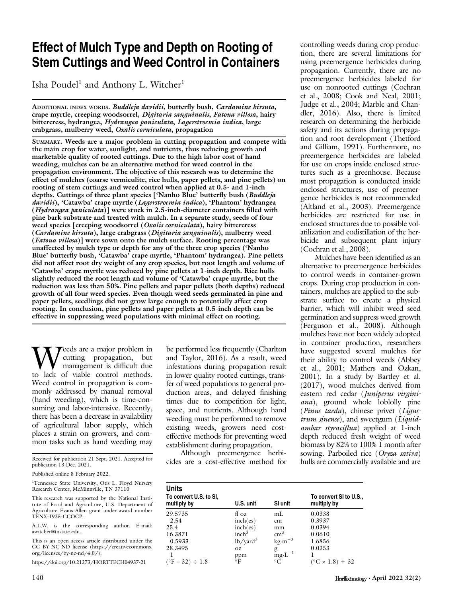# Effect of Mulch Type and Depth on Rooting of Stem Cuttings and Weed Control in Containers

Isha Poudel<sup>1</sup> and Anthony L. Witcher<sup>1</sup>

ADDITIONAL INDEX WORDS. Buddleja davidii, butterfly bush, Cardamine hirsuta, crape myrtle, creeping woodsorrel, Digitaria sanguinalis, Fatoua villosa, hairy bittercress, hydrangea, Hydrangea paniculata, Lagerstroemia indica, large crabgrass, mulberry weed, Oxalis corniculata, propagation

SUMMARY. Weeds are a major problem in cutting propagation and compete with the main crop for water, sunlight, and nutrients, thus reducing growth and marketable quality of rooted cuttings. Due to the high labor cost of hand weeding, mulches can be an alternative method for weed control in the propagation environment. The objective of this research was to determine the effect of mulches (coarse vermiculite, rice hulls, paper pellets, and pine pellets) on rooting of stem cuttings and weed control when applied at 0.5- and 1-inch depths. Cuttings of three plant species ['Nanho Blue' butterfly bush (Buddleja davidii), 'Catawba' crape myrtle (Lagerstroemia indica), 'Phantom' hydrangea (Hydrangea paniculata)] were stuck in 2.5-inch-diameter containers filled with pine bark substrate and treated with mulch. In a separate study, seeds of four weed species [creeping woodsorrel (Oxalis corniculata), hairy bittercress (Cardamine hirsuta), large crabgrass (Digitaria sanguinalis), mulberry weed (Fatoua villosa)] were sown onto the mulch surface. Rooting percentage was unaffected by mulch type or depth for any of the three crop species ('Nanho Blue' butterfly bush, 'Catawba' crape myrtle, 'Phantom' hydrangea). Pine pellets did not affect root dry weight of any crop species, but root length and volume of 'Catawba' crape myrtle was reduced by pine pellets at 1-inch depth. Rice hulls slightly reduced the root length and volume of 'Catawba' crape myrtle, but the reduction was less than 50%. Pine pellets and paper pellets (both depths) reduced growth of all four weed species. Even though weed seeds germinated in pine and paper pellets, seedlings did not grow large enough to potentially affect crop rooting. In conclusion, pine pellets and paper pellets at 0.5-inch depth can be effective in suppressing weed populations with minimal effect on rooting.

Weeds are a major problem in<br>
management is difficult due<br>
to lack of viable control methods. cutting propagation, but management is difficult due Weed control in propagation is commonly addressed by manual removal (hand weeding), which is time-consuming and labor-intensive. Recently, there has been a decrease in availability of agricultural labor supply, which places a strain on growers, and common tasks such as hand weeding may

Received for publication 21 Sept. 2021. Accepted for publication 13 Dec. 2021.

Published online 8 February 2022.

<sup>1</sup>Tennessee State University, Otis L. Floyd Nursery Research Center, McMinnville, TN 37110

This research was supported by the National Insti-tute of Food and Agriculture, U.S. Department of Agriculture Evans-Allen grant under award number TENX-1925-CCOCP.

A.L.W. is the corresponding author. E-mail: [awitcher@tnstate.edu.](mailto:awitcher@tnstate.edu)

This is an open access article distributed under the CC BY-NC-ND license ([https://creativecommons.](https://creativecommons.org/licenses/by-nc-nd/4.0/) [org/licenses/by-nc-nd/4.0/\)](https://creativecommons.org/licenses/by-nc-nd/4.0/).

<https://doi.org/10.21273/HORTTECH04937-21>

be performed less frequently (Charlton and Taylor, 2016). As a result, weed infestations during propagation result in lower quality rooted cuttings, transfer of weed populations to general production areas, and delayed finishing times due to competition for light, space, and nutrients. Although hand weeding must be performed to remove existing weeds, growers need costeffective methods for preventing weed establishment during propagation.

Although preemergence herbicides are a cost-effective method for controlling weeds during crop production, there are several limitations for using preemergence herbicides during propagation. Currently, there are no preemergence herbicides labeled for use on nonrooted cuttings (Cochran et al., 2008; Cook and Neal, 2001; Judge et al., 2004; Marble and Chandler, 2016). Also, there is limited research on determining the herbicide safety and its actions during propagation and root development (Thetford and Gilliam, 1991). Furthermore, no preemergence herbicides are labeled for use on crops inside enclosed structures such as a greenhouse. Because most propagation is conducted inside enclosed structures, use of preemergence herbicides is not recommended (Altland et al., 2003). Preemergence herbicides are restricted for use in enclosed structures due to possible volatilization and codistillation of the herbicide and subsequent plant injury (Cochran et al., 2008).

Mulches have been identified as an alternative to preemergence herbicides to control weeds in container-grown crops. During crop production in containers, mulches are applied to the substrate surface to create a physical barrier, which will inhibit weed seed germination and suppress weed growth (Ferguson et al., 2008). Although mulches have not been widely adopted in container production, researchers have suggested several mulches for their ability to control weeds (Abbey et al., 2001; Mathers and Ozkan, 2001). In a study by Bartley et al. (2017), wood mulches derived from eastern red cedar (Juniperus virginiana), ground whole loblolly pine (Pinus taeda), chinese privet (Ligustrum sinense), and sweetgum (Liquidambar styraciflua) applied at 1-inch depth reduced fresh weight of weed biomass by 82% to 100% 1 month after sowing. Parboiled rice (Oryza sativa) hulls are commercially available and are

| <b>Units</b><br>To convert U.S. to SI,<br>multiply by                                  | U.S. unit                                                                                                | SI unit                                                                           | To convert SI to U.S.,<br>multiply by                                                     |
|----------------------------------------------------------------------------------------|----------------------------------------------------------------------------------------------------------|-----------------------------------------------------------------------------------|-------------------------------------------------------------------------------------------|
| 29.5735<br>2.54<br>25.4<br>16.3871<br>0.5933<br>28.3495<br>$(^{\circ}F - 32) \div 1.8$ | fl oz<br>inch(es)<br>inch(es)<br>inch <sup>3</sup><br>$lb/$ yard <sup>3</sup><br>OZ.<br>ppm<br>$\circ$ F | mL<br>cm<br>mm<br>$\rm cm^3$<br>$kg·m-3$<br>g<br>$mg \cdot L^{-1}$<br>$^{\circ}C$ | 0.0338<br>0.3937<br>0.0394<br>0.0610<br>1.6856<br>0.0353<br>$(^{\circ}C \times 1.8) + 32$ |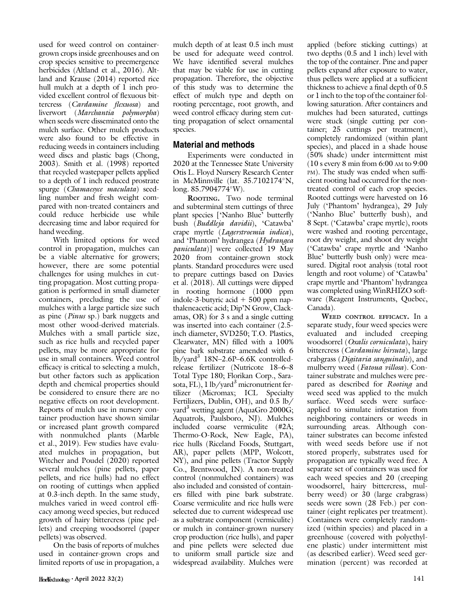used for weed control on containergrown crops inside greenhouses and on crop species sensitive to preemergence herbicides (Altland et al., 2016). Altland and Krause (2014) reported rice hull mulch at a depth of 1 inch provided excellent control of flexuous bittercress (Cardamine flexuosa) and liverwort (Marchantia polymorpha) when seeds were disseminated onto the mulch surface. Other mulch products were also found to be effective in reducing weeds in containers including weed discs and plastic bags (Chong, 2003). Smith et al. (1998) reported that recycled wastepaper pellets applied to a depth of 1 inch reduced prostrate spurge (Chamaesyce maculata) seedling number and fresh weight compared with non-treated containers and could reduce herbicide use while decreasing time and labor required for hand weeding.

With limited options for weed control in propagation, mulches can be a viable alternative for growers; however, there are some potential challenges for using mulches in cutting propagation. Most cutting propagation is performed in small diameter containers, precluding the use of mulches with a large particle size such as pine (Pinus sp.) bark nuggets and most other wood-derived materials. Mulches with a small particle size, such as rice hulls and recycled paper pellets, may be more appropriate for use in small containers. Weed control efficacy is critical to selecting a mulch, but other factors such as application depth and chemical properties should be considered to ensure there are no negative effects on root development. Reports of mulch use in nursery container production have shown similar or increased plant growth compared with nonmulched plants (Marble et al., 2019). Few studies have evaluated mulches in propagation, but Witcher and Poudel (2020) reported several mulches (pine pellets, paper pellets, and rice hulls) had no effect on rooting of cuttings when applied at 0.3-inch depth. In the same study, mulches varied in weed control efficacy among weed species, but reduced growth of hairy bittercress (pine pellets) and creeping woodsorrel (paper pellets) was observed.

On the basis of reports of mulches used in container-grown crops and limited reports of use in propagation, a mulch depth of at least 0.5 inch must be used for adequate weed control. We have identified several mulches that may be viable for use in cutting propagation. Therefore, the objective of this study was to determine the effect of mulch type and depth on rooting percentage, root growth, and weed control efficacy during stem cutting propagation of select ornamental species.

### Material and methods

Experiments were conducted in 2020 at the Tennessee State University Otis L. Floyd Nursery Research Center in McMinnville (lat.  $35.7102174^{\circ}N$ , long. 85.7904774°W).

ROOTING. Two node terminal and subterminal stem cuttings of three plant species ['Nanho Blue' butterfly bush (Buddleja davidii), 'Catawba' crape myrtle (Lagerstroemia indica), and 'Phantom' hydrangea (Hydrangea paniculata)] were collected 19 May 2020 from container-grown stock plants. Standard procedures were used to prepare cuttings based on Davies et al. (2018). All cuttings were dipped in rooting hormone (1000 ppm indole-3-butyric acid  $+ 500$  ppm napthaleneacetic acid; Dip'N Grow, Clackamas, OR) for 3 s and a single cutting was inserted into each container (2.5 inch diameter, SVD250; T.O. Plastics, Clearwater, MN) filled with a 100% pine bark substrate amended with 6  $lb/$ yard<sup>3</sup> 18N–2.6P–6.6K controlledrelease fertilizer (Nutricote 18–6–8 Total Type 180; Florikan Corp., Sarasota, FL),  $1 \text{ lb}/\text{yard}^3$  micronutrient fertilizer (Micromax; ICL Specialty Fertilizers, Dublin, OH), and 0.5 lb/ yard<sup>3</sup> wetting agent (AquaGro 2000G; Aquatrols, Paulsboro, NJ). Mulches included coarse vermiculite (#2A; Thermo-O-Rock, New Eagle, PA), rice hulls (Riceland Foods, Stuttgart, AR), paper pellets (MPP, Wolcott, NY), and pine pellets (Tractor Supply Co., Brentwood, IN). A non-treated control (nonmulched containers) was also included and consisted of containers filled with pine bark substrate. Coarse vermiculite and rice hulls were selected due to current widespread use as a substrate component (vermiculite) or mulch in container-grown nursery crop production (rice hulls), and paper and pine pellets were selected due to uniform small particle size and widespread availability. Mulches were

applied (before sticking cuttings) at two depths (0.5 and 1 inch) level with the top of the container. Pine and paper pellets expand after exposure to water, thus pellets were applied at a sufficient thickness to achieve a final depth of 0.5 or 1 inch to the top of the container following saturation. After containers and mulches had been saturated, cuttings were stuck (single cutting per container; 25 cuttings per treatment), completely randomized (within plant species), and placed in a shade house (50% shade) under intermittent mist (10 s every 8 min from 6:00 AM to 9:00 PM). The study was ended when sufficient rooting had occurred for the nontreated control of each crop species. Rooted cuttings were harvested on 16 July ('Phantom' hydrangea), 29 July ('Nanho Blue' butterfly bush), and 8 Sept. ('Catawba' crape myrtle), roots were washed and rooting percentage, root dry weight, and shoot dry weight ('Catawba' crape myrtle and 'Nanho Blue' butterfly bush only) were measured. Digital root analysis (total root length and root volume) of 'Catawba' crape myrtle and 'Phantom' hydrangea was completed using WinRHIZO software (Reagent Instruments, Quebec, Canada).

WEED CONTROL EFFICACY. In a separate study, four weed species were evaluated and included creeping woodsorrel (Oxalis corniculata), hairy bittercress (Cardamine hirsuta), large crabgrass (Digitaria sanguinalis), and mulberry weed (Fatoua villosa). Container substrate and mulches were prepared as described for Rooting and weed seed was applied to the mulch surface. Weed seeds were surfaceapplied to simulate infestation from neighboring containers or weeds in surrounding areas. Although container substrates can become infested with weed seeds before use if not stored properly, substrates used for propagation are typically weed free. A separate set of containers was used for each weed species and 20 (creeping woodsorrel, hairy bittercress, mulberry weed) or 30 (large crabgrass) seeds were sown (28 Feb.) per container (eight replicates per treatment). Containers were completely randomized (within species) and placed in a greenhouse (covered with polyethylene plastic) under intermittent mist (as described earlier). Weed seed germination (percent) was recorded at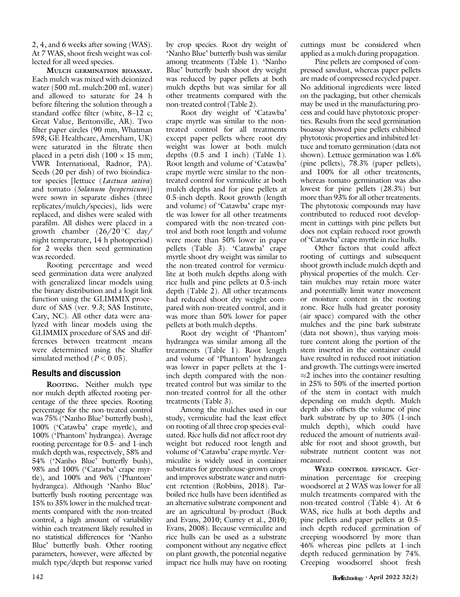2, 4, and 6 weeks after sowing (WAS). At 7 WAS, shoot fresh weight was collected for all weed species.

MULCH GERMINATION BIOASSAY. Each mulch was mixed with deionized water (500 mL mulch:200 mL water) and allowed to saturate for 24 h before filtering the solution through a standard coffee filter (white, 8–12 c; Great Value, Bentonville, AR). Two filter paper circles (90 mm, Whatman 598; GE Healthcare, Amersham, UK) were saturated in the filtrate then placed in a petri dish  $(100 \times 15 \text{ mm})$ ; VWR International, Radnor, PA). Seeds (20 per dish) of two bioindicator species [lettuce (Lactuca sativa) and tomato (Solanum lycopersicum)] were sown in separate dishes (three replicates/mulch/species), lids were replaced, and dishes were sealed with parafilm. All dishes were placed in a growth chamber  $(26/20\degree C \text{ day}/$ night temperature, 14 h photoperiod) for 2 weeks then seed germination was recorded.

Rooting percentage and weed seed germination data were analyzed with generalized linear models using the binary distribution and a logit link function using the GLIMMIX procedure of SAS (ver. 9.3; SAS Institute, Cary, NC). All other data were analyzed with linear models using the GLIMMIX procedure of SAS and differences between treatment means were determined using the Shaffer simulated method ( $P < 0.05$ ).

#### Results and discussion

ROOTING. Neither mulch type nor mulch depth affected rooting percentage of the three species. Rooting percentage for the non-treated control was 75% ('Nanho Blue' butterfly bush), 100% ('Catawba' crape myrtle), and 100% ('Phantom' hydrangea). Average rooting percentage for 0.5- and 1-inch mulch depth was, respectively, 58% and 54% ('Nanho Blue' butterfly bush), 98% and 100% ('Catawba' crape myrtle), and 100% and 96% ('Phantom' hydrangea). Although 'Nanho Blue' butterfly bush rooting percentage was 15% to 35% lower in the mulched treatments compared with the non-treated control, a high amount of variability within each treatment likely resulted in no statistical differences for 'Nanho Blue' butterfly bush. Other rooting parameters, however, were affected by mulch type/depth but response varied by crop species. Root dry weight of 'Nanho Blue' butterfly bush was similar among treatments (Table 1). 'Nanho Blue' butterfly bush shoot dry weight was reduced by paper pellets at both mulch depths but was similar for all other treatments compared with the non-treated control (Table 2).

Root dry weight of 'Catawba' crape myrtle was similar to the nontreated control for all treatments except paper pellets where root dry weight was lower at both mulch depths (0.5 and 1 inch) (Table 1). Root length and volume of 'Catawba' crape myrtle were similar to the nontreated control for vermiculite at both mulch depths and for pine pellets at 0.5-inch depth. Root growth (length and volume) of 'Catawba' crape myrtle was lower for all other treatments compared with the non-treated control and both root length and volume were more than 50% lower in paper pellets (Table 3). 'Catawba' crape myrtle shoot dry weight was similar to the non-treated control for vermiculite at both mulch depths along with rice hulls and pine pellets at 0.5-inch depth (Table 2). All other treatments had reduced shoot dry weight compared with non-treated control, and it was more than 50% lower for paper pellets at both mulch depths.

Root dry weight of 'Phantom' hydrangea was similar among all the treatments (Table 1). Root length and volume of 'Phantom' hydrangea was lower in paper pellets at the 1 inch depth compared with the nontreated control but was similar to the non-treated control for all the other treatments (Table 3).

Among the mulches used in our study, vermiculite had the least effect on rooting of all three crop species evaluated. Rice hulls did not affect root dry weight but reduced root length and volume of 'Catawba' crape myrtle. Vermiculite is widely used in container substrates for greenhouse-grown crops and improves substrate water and nutrient retention (Robbins, 2018). Parboiled rice hulls have been identified as an alternative substrate component and are an agricultural by-product (Buck and Evans, 2010; Currey et al., 2010; Evans, 2008). Because vermiculite and rice hulls can be used as a substrate component without any negative effect on plant growth, the potential negative impact rice hulls may have on rooting cuttings must be considered when applied as a mulch during propagation.

Pine pellets are composed of compressed sawdust, whereas paper pellets are made of compressed recycled paper. No additional ingredients were listed on the packaging, but other chemicals may be used in the manufacturing process and could have phytotoxic properties. Results from the seed germination bioassay showed pine pellets exhibited phytotoxic properties and inhibited lettuce and tomato germination (data not shown). Lettuce germination was 1.6% (pine pellets), 78.3% (paper pellets), and 100% for all other treatments, whereas tomato germination was also lowest for pine pellets (28.3%) but more than 93% for all other treatments. The phytotoxic compounds may have contributed to reduced root development in cuttings with pine pellets but does not explain reduced root growth of 'Catawba' crape myrtle in rice hulls.

Other factors that could affect rooting of cuttings and subsequent shoot growth include mulch depth and physical properties of the mulch. Certain mulches may retain more water and potentially limit water movement or moisture content in the rooting zone. Rice hulls had greater porosity (air space) compared with the other mulches and the pine bark substrate (data not shown), thus varying moisture content along the portion of the stem inserted in the container could have resulted in reduced root initiation and growth. The cuttings were inserted  $\approx$ 2 inches into the container resulting in 25% to 50% of the inserted portion of the stem in contact with mulch depending on mulch depth. Mulch depth also offsets the volume of pine bark substrate by up to 30% (1-inch mulch depth), which could have reduced the amount of nutrients available for root and shoot growth, but substrate nutrient content was not measured.

WEED CONTROL EFFICACY. Germination percentage for creeping woodsorrel at 2 WAS was lower for all mulch treatments compared with the non-treated control (Table 4). At 6 WAS, rice hulls at both depths and pine pellets and paper pellets at 0.5 inch depth reduced germination of creeping woodsorrel by more than 46% whereas pine pellets at 1-inch depth reduced germination by 74%. Creeping woodsorrel shoot fresh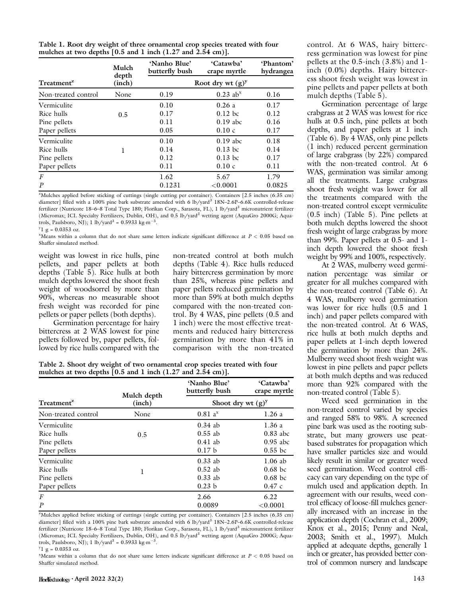| Table 1. Root dry weight of three ornamental crop species treated with four |  |
|-----------------------------------------------------------------------------|--|
| mulches at two depths $[0.5$ and 1 inch $(1.27$ and $2.54$ cm)].            |  |

|                        | Mulch<br>depth | 'Nanho Blue'<br>butterfly bush | 'Catawba'<br>crape myrtle | 'Phantom'<br>hydrangea |
|------------------------|----------------|--------------------------------|---------------------------|------------------------|
| Treatment <sup>2</sup> | (inch)         |                                | Root dry wt $(g)^y$       |                        |
| Non-treated control    | None           | 0.19                           | $0.23$ ab <sup>x</sup>    | 0.16                   |
| Vermiculite            |                | 0.10                           | 0.26a                     | 0.17                   |
| Rice hulls             | 0.5            | 0.17                           | $0.12$ bc                 | 0.12                   |
| Pine pellets           |                | 0.11                           | $0.19$ abc                | 0.16                   |
| Paper pellets          |                | 0.05                           | 0.10c                     | 0.17                   |
| Vermiculite            |                | 0.10                           | $0.19$ abc                | 0.18                   |
| Rice hulls             | 1              | 0.14                           | $0.13$ bc                 | 0.14                   |
| Pine pellets           |                | 0.12                           | $0.13$ bc                 | 0.17                   |
| Paper pellets          |                | 0.11                           | 0.10c                     | 0.11                   |
| $\boldsymbol{F}$       |                | 1.62                           | 5.67                      | 1.79                   |
| $\boldsymbol{P}$       |                | 0.1231                         | < 0.0001                  | 0.0825                 |

z Mulches applied before sticking of cuttings (single cutting per container). Containers [2.5 inches (6.35 cm) diameter] filled with a 100% pine bark substrate amended with 6 lb/yard<sup>3</sup> 18N-2.6P-6.6K controlled-release fertilizer (Nutricote 18–6–8 Total Type 180; Florikan Corp., Sarasota, FL), 1 lb/yard<sup>3</sup> micronutrient fertilizer (Micromax; ICL Specialty Fertilizers, Dublin, OH), and 0.5 lb/yard<sup>3</sup> wetting agent (AquaGro 2000G; Aquatrols, Paulsboro, NJ); 1 lb/yard<sup>3</sup> = 0.5933 kg·m<sup>-3</sup> .

 $y_1$  g = 0.0353 oz.

 $X$ Means within a column that do not share same letters indicate significant difference at  $P < 0.05$  based on Shaffer simulated method.

weight was lowest in rice hulls, pine pellets, and paper pellets at both depths (Table 5). Rice hulls at both mulch depths lowered the shoot fresh weight of woodsorrel by more than 90%, whereas no measurable shoot fresh weight was recorded for pine pellets or paper pellets (both depths).

Germination percentage for hairy bittercress at 2 WAS lowest for pine pellets followed by, paper pellets, followed by rice hulls compared with the non-treated control at both mulch depths (Table 4). Rice hulls reduced hairy bittercress germination by more than 25%, whereas pine pellets and paper pellets reduced germination by more than 59% at both mulch depths compared with the non-treated control. By 4 WAS, pine pellets (0.5 and 1 inch) were the most effective treatments and reduced hairy bittercress germination by more than 41% in comparison with the non-treated

Table 2. Shoot dry weight of two ornamental crop species treated with four mulches at two depths [0.5 and 1 inch (1.27 and 2.54 cm)].

|                        | Mulch depth | 'Nanho Blue'<br>butterfly bush | 'Catawba'<br>crape myrtle |
|------------------------|-------------|--------------------------------|---------------------------|
| Treatment <sup>z</sup> | (inch)      | Shoot dry wt $(g)^y$           |                           |
| Non-treated control    | None        | $0.81a^x$                      | 1.26a                     |
| Vermiculite            |             | $0.34$ ab                      | 1.36a                     |
| Rice hulls             | 0.5         | $0.55$ ab                      | $0.83$ abc                |
| Pine pellets           |             | $0.41$ ab                      | $0.95$ abc                |
| Paper pellets          |             | 0.17 <sub>b</sub>              | $0.55$ bc                 |
| Vermiculite            |             | $0.33$ ab                      | $1.06$ ab                 |
| Rice hulls             | 1           | $0.52$ ab                      | $0.68$ bc                 |
| Pine pellets           |             | $0.33$ ab                      | $0.68$ bc                 |
| Paper pellets          |             | 0.23 <sub>b</sub>              | 0.47c                     |
| $\boldsymbol{F}$       |             | 2.66                           | 6.22                      |
| $\boldsymbol{P}$       |             | 0.0089                         | ${<}0.0001$               |

z Mulches applied before sticking of cuttings (single cutting per container). Containers [2.5 inches (6.35 cm) diameter] filled with a 100% pine bark substrate amended with 6 lb/yard<sup>3</sup> 18N–2.6P–6.6K controlled-release fertilizer (Nutricote 18–6–8 Total Type 180; Florikan Corp., Sarasota, FL), 1 lb/yard<sup>3</sup> micronutrient fertilizer (Micromax; ICL Specialty Fertilizers, Dublin, OH), and 0.5 lb/yard<sup>3</sup> wetting agent (AquaGro 2000G; Aquatrols, Paulsboro, NJ); 1 lb/yard<sup>3</sup> = 0.5933 kg·m<sup>-3</sup>.

 $y_1$  g = 0.0353 oz.

 $X$ Means within a column that do not share same letters indicate significant difference at  $P < 0.05$  based on Shaffer simulated method.

control. At 6 WAS, hairy bittercress germination was lowest for pine pellets at the 0.5-inch (3.8%) and 1 inch (0.0%) depths. Hairy bittercress shoot fresh weight was lowest in pine pellets and paper pellets at both mulch depths (Table 5).

Germination percentage of large crabgrass at 2 WAS was lowest for rice hulls at 0.5 inch, pine pellets at both depths, and paper pellets at 1 inch (Table 6). By 4 WAS, only pine pellets (1 inch) reduced percent germination of large crabgrass (by 22%) compared with the non-treated control. At 6 WAS, germination was similar among all the treatments. Large crabgrass shoot fresh weight was lower for all the treatments compared with the non-treated control except vermiculite (0.5 inch) (Table 5). Pine pellets at both mulch depths lowered the shoot fresh weight of large crabgrass by more than 99%. Paper pellets at 0.5- and 1 inch depth lowered the shoot fresh weight by 99% and 100%, respectively.

At 2 WAS, mulberry weed germination percentage was similar or greater for all mulches compared with the non-treated control (Table 6). At 4 WAS, mulberry weed germination was lower for rice hulls (0.5 and 1 inch) and paper pellets compared with the non-treated control. At 6 WAS, rice hulls at both mulch depths and paper pellets at 1-inch depth lowered the germination by more than 24%. Mulberry weed shoot fresh weight was lowest in pine pellets and paper pellets at both mulch depths and was reduced more than 92% compared with the non-treated control (Table 5).

Weed seed germination in the non-treated control varied by species and ranged 58% to 98%. A screened pine bark was used as the rooting substrate, but many growers use peatbased substrates for propagation which have smaller particles size and would likely result in similar or greater weed seed germination. Weed control efficacy can vary depending on the type of mulch used and application depth. In agreement with our results, weed control efficacy of loose-fill mulches generally increased with an increase in the application depth (Cochran et al., 2009; Knox et al., 2015; Penny and Neal, 2003; Smith et al., 1997). Mulch applied at adequate depths, generally 1 inch or greater, has provided better control of common nursery and landscape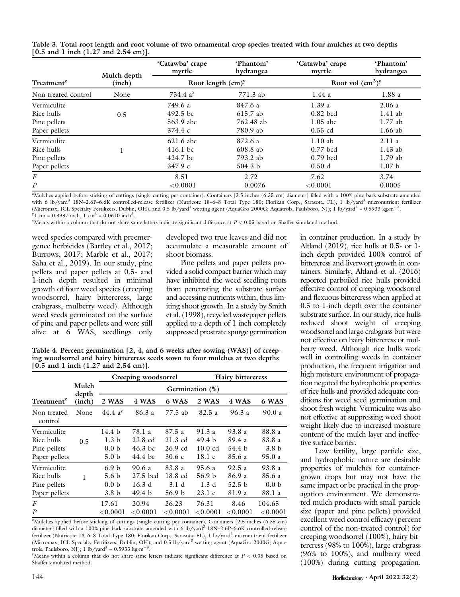|  |                                            |  | Table 3. Total root length and root volume of two ornamental crop species treated with four mulches at two depths |  |  |  |  |
|--|--------------------------------------------|--|-------------------------------------------------------------------------------------------------------------------|--|--|--|--|
|  | $[0.5$ and 1 inch $(1.27$ and $2.54$ cm)]. |  |                                                                                                                   |  |  |  |  |

|                        | Mulch depth | 'Catawba' crape<br>myrtle | 'Phantom'<br>hydrangea | 'Catawba' crape<br>myrtle | 'Phantom'<br>hydrangea |
|------------------------|-------------|---------------------------|------------------------|---------------------------|------------------------|
| Treatment <sup>2</sup> | (inch)      | Root length $(cm)^y$      |                        | Root vol $(cm3)y$         |                        |
| Non-treated control    | None        | 754.4 $a^x$               | 771.3 ab               | 1.44a                     | 1.88a                  |
| Vermiculite            |             | 749.6 a                   | 847.6 a                | 1.39a                     | 2.06a                  |
| Rice hulls             | 0.5         | 492.5 bc                  | 615.7 ab               | $0.82$ bcd                | $1.41$ ab              |
| Pine pellets           |             | 563.9 abc                 | 762.48 ab              | $1.05$ abc                | $1.77$ ab              |
| Paper pellets          |             | 374.4c                    | 780.9 ab               | $0.55$ cd                 | $1.66$ ab              |
| Vermiculite            |             | 621.6 abc                 | 872.6 a                | 1.10ab                    | 2.11a                  |
| Rice hulls             |             | $416.1$ bc                | 608.8 ab               | $0.77$ bcd                | $1.43$ ab              |
| Pine pellets           |             | 424.7 bc                  | 793.2 ab               | $0.79$ bcd                | $1.79$ ab              |
| Paper pellets          |             | 347.9c                    | 504.3 b                | 0.50d                     | 1.07 <sub>b</sub>      |
| $\boldsymbol{F}$       |             | 8.51                      | 2.72                   | 7.62                      | 3.74                   |
| $\boldsymbol{P}$       |             | < 0.0001                  | 0.0076                 | < 0.0001                  | 0.0005                 |

z Mulches applied before sticking of cuttings (single cutting per container). Containers [2.5 inches (6.35 cm) diameter] filled with a 100% pine bark substrate amended with 6 lb/yard<sup>3</sup> 18N-2.6P-6.6K controlled-release fertilizer (Nutricote 18-6-8 Total Type 180; Florikan Corp., Sarasota, FL), 1 lb/yard<sup>3</sup> micronutrient fertilizer (Micromax; ICL Specialty Fertilizers, Dublin, OH), and 0.5 lb/yard<sup>3</sup> wetting agent (AquaGro 2000G; Aquatrols, Paulsboro, NJ); 1 lb/yard<sup>3</sup> = 0.5933 kg·m<sup>-3</sup> .  $y_1$  cm = 0.3937 inch, 1 cm<sup>3</sup> = 0.0610 inch<sup>3</sup>.

 $X$ Means within a column that do not share same letters indicate significant difference at  $P < 0.05$  based on Shaffer simulated method.

weed species compared with preemergence herbicides (Bartley et al., 2017; Burrows, 2017; Marble et al., 2017; Saha et al., 2019). In our study, pine pellets and paper pellets at 0.5- and 1-inch depth resulted in minimal growth of four weed species (creeping woodsorrel, hairy bittercress, large crabgrass, mulberry weed). Although weed seeds germinated on the surface of pine and paper pellets and were still alive at 6 WAS, seedlings only developed two true leaves and did not accumulate a measurable amount of shoot biomass.

Pine pellets and paper pellets provided a solid compact barrier which may have inhibited the weed seedling roots from penetrating the substrate surface and accessing nutrients within, thus limiting shoot growth. In a study by Smith et al. (1998), recycled wastepaper pellets applied to a depth of 1 inch completely suppressed prostrate spurge germination

Table 4. Percent germination  $[2, 4,$  and 6 weeks after sowing (WAS)] of creeping woodsorrel and hairy bittercress seeds sown to four mulches at two depths [0.5 and 1 inch (1.27 and 2.54 cm)].

|                                                            |                |                                                                              | Creeping woodsorrel                               |                                                | <b>Hairy bittercress</b>                           |                                                |                                                |  |  |
|------------------------------------------------------------|----------------|------------------------------------------------------------------------------|---------------------------------------------------|------------------------------------------------|----------------------------------------------------|------------------------------------------------|------------------------------------------------|--|--|
|                                                            | Mulch<br>depth | Germination (%)                                                              |                                                   |                                                |                                                    |                                                |                                                |  |  |
| Treatment <sup>2</sup>                                     | (inch)         | 2 WAS                                                                        | 4 WAS                                             | 6 WAS                                          | 2 WAS                                              | 4 WAS                                          | 6 WAS                                          |  |  |
| Non-treated<br>control                                     | None           | 44.4 $a^{y}$                                                                 | 86.3 a                                            | 77.5 ab                                        | 82.5 a                                             | 96.3 a                                         | 90.0a                                          |  |  |
| Vermiculite<br>Rice hulls<br>Pine pellets<br>Paper pellets | 0.5            | 14.4 b<br>1.3 <sub>b</sub><br>0.0 <sub>b</sub><br>5.0 <sub>b</sub>           | 78.1 a<br>23.8 cd<br>$46.3$ bc<br>44.4 bc         | 87.5 a<br>$21.3$ cd<br>26.9 cd<br>30.6c        | 91.3 a<br>49.4 <sub>b</sub><br>$10.0$ cd<br>18.1 c | 93.8 a<br>89.4 a<br>54.4 b<br>85.6 a           | 88.8 a<br>83.8 a<br>3.8 <sub>b</sub><br>95.0 a |  |  |
| Vermiculite<br>Rice hulls<br>Pine pellets<br>Paper pellets | ı              | 6.9 <sub>b</sub><br>5.6 <sub>b</sub><br>0.0 <sub>b</sub><br>3.8 <sub>b</sub> | 90.6 a<br>27.5 bcd<br>16.3 d<br>49.4 <sub>b</sub> | 83.8 a<br>18.8 cd<br>3.1d<br>56.9 <sub>b</sub> | 95.6 a<br>56.9 <sub>b</sub><br>1.3d<br>23.1c       | 92.5a<br>86.9 a<br>52.5 <sub>b</sub><br>81.9 a | 93.8 a<br>85.6 a<br>0.0 <sub>b</sub><br>88.1 a |  |  |
| F<br>$\boldsymbol{P}$                                      |                | 17.61<br>$<$ $0.0001$                                                        | 20.94<br>${<}0.0001$                              | 26.23<br>< 0.0001                              | 76.31<br>$<$ $0.0001$                              | 8.46<br>${<}0.0001$                            | 104.65<br>$<$ 0.0001 $\,$                      |  |  |

z Mulches applied before sticking of cuttings (single cutting per container). Containers [2.5 inches (6.35 cm) diameter] filled with a 100% pine bark substrate amended with 6 lb/yard<sup>3</sup> 18N-2.6P-6.6K controlled-release fertilizer (Nutricote 18-6-8 Total Type 180; Florikan Corp., Sarasota, FL), 1 lb/yard<sup>3</sup> micronutrient fertilizer (Micromax; ICL Specialty Fertilizers, Dublin, OH), and 0.5 lb/yard3 wetting agent (AquaGro 2000G; Aquatrols, Paulsboro, NJ); 1 lb/vard<sup>3</sup> = 0.5933 kg·m<sup>-3</sup> .

<sup>y</sup>Means within a column that do not share same letters indicate significant difference at  $P < 0.05$  based on Shaffer simulated method.

in container production. In a study by Altland (2019), rice hulls at 0.5- or 1 inch depth provided 100% control of bittercress and liverwort growth in containers. Similarly, Altland et al. (2016) reported parboiled rice hulls provided effective control of creeping woodsorrel and flexuous bittercress when applied at 0.5 to 1-inch depth over the container substrate surface. In our study, rice hulls reduced shoot weight of creeping woodsorrel and large crabgrass but were not effective on hairy bittercress or mulberry weed. Although rice hulls work well in controlling weeds in container production, the frequent irrigation and high moisture environment of propagation negated the hydrophobic properties of rice hulls and provided adequate conditions for weed seed germination and shoot fresh weight. Vermiculite was also not effective at suppressing weed shoot weight likely due to increased moisture content of the mulch layer and ineffective surface barrier.

Low fertility, large particle size, and hydrophobic nature are desirable properties of mulches for containergrown crops but may not have the same impact or be practical in the propagation environment. We demonstrated mulch products with small particle size (paper and pine pellets) provided excellent weed control efficacy (percent control of the non-treated control) for creeping woodsorrel (100%), hairy bittercress (98% to 100%), large crabgrass (96% to 100%), and mulberry weed (100%) during cutting propagation.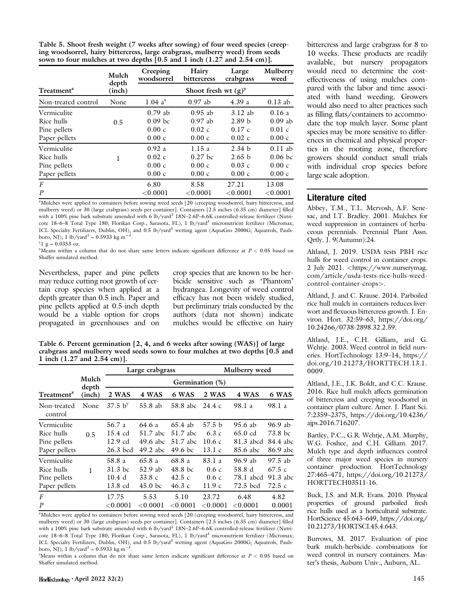| Table 5. Shoot fresh weight (7 weeks after sowing) of four weed species (creep- |
|---------------------------------------------------------------------------------|
| ing woodsorrel, hairy bittercress, large crabgrass, mulberry weed) from seeds   |
| sown to four mulches at two depths $[0.5$ and 1 inch $(1.27$ and $2.54$ cm).    |

|                        | Mulch  | Creeping     | Hairy                  | Large             | Mulberry    |
|------------------------|--------|--------------|------------------------|-------------------|-------------|
|                        | depth  | woodsorrel   | bittercress            | crabgrass         | weed        |
| Treatment <sup>2</sup> | (inch) |              | Shoot fresh wt $(g)^y$ |                   |             |
| Non-treated control    | None   | $1.04~a^{x}$ | $0.97$ ab              | 4.39a             | $0.13$ ab   |
| Vermiculite            | 0.5    | $0.79$ ab    | $0.95$ ab              | 3.12ab            | 0.16a       |
| Rice hulls             |        | $0.09$ bc    | $0.97$ ab              | 2.89 <sub>b</sub> | $0.09$ ab   |
| Pine pellets           |        | 0.00c        | 0.02c                  | 0.17c             | 0.01c       |
| Paper pellets          |        | 0.00c        | 0.00c                  | 0.02c             | 0.00c       |
| Vermiculite            | 1      | 0.92a        | 1.15a                  | 2.34 b            | $0.11$ ab   |
| Rice hulls             |        | 0.02c        | $0.27$ bc              | 2.65 b            | $0.06$ bc   |
| Pine pellets           |        | 0.00c        | 0.00c                  | 0.03c             | 0.00c       |
| Paper pellets          |        | 0.00c        | 0.00c                  | 0.00c             | 0.00c       |
| $\boldsymbol{F}$       |        | 6.80         | 8.58                   | 27.21             | 13.08       |
| $\boldsymbol{P}$       |        | ${<}0.0001$  | < 0.0001               | ${<}0.0001$       | ${<}0.0001$ |

z Mulches were applied to containers before sowing weed seeds [20 (creeping woodsorrel, hairy bittercress, and mulberry weed) or 30 (large crabgrass) seeds per container]. Containers [2.5 inches (6.35 cm) diameter] filled with a 100% pine bark substrate amended with 6 lb/yard<sup>3</sup> 18N-2.6P-6.6K controlled-release fertilizer (Nutricote 18–6–8 Total Type 180; Florikan Corp., Sarasota, FL), 1 lb/yard<sup>3</sup> micronutrient fertilizer (Micromax; ICL Specialty Fertilizers, Dublin, OH), and 0.5 lb/yard<sup>3</sup> wetting agent (AquaGro 2000G; Aquatrols, Paulsboro, NJ); 1 lb/yard<sup>3</sup> = 0.5933 kg·m<sup>-3</sup>.

 $y_1$  g = 0.0353 oz.

 $X$ Means within a column that do not share same letters indicate significant difference at  $P < 0.05$  based on Shaffer simulated method.

Nevertheless, paper and pine pellets may reduce cutting root growth of certain crop species when applied at a depth greater than 0.5 inch. Paper and pine pellets applied at 0.5-inch depth would be a viable option for crops propagated in greenhouses and on

crop species that are known to be herbicide sensitive such as 'Phantom' hydrangea. Longevity of weed control efficacy has not been widely studied, but preliminary trials conducted by the authors (data not shown) indicate mulches would be effective on hairy

Table 6. Percent germination [2, 4, and 6 weeks after sowing (WAS)] of large crabgrass and mulberry weed seeds sown to four mulches at two depths [0.5 and 1 inch (1.27 and 2.54 cm)].

|                                                            |                |                                          | Large crabgrass                              |                                                | Mulberry weed                               |                                               |                                            |  |  |
|------------------------------------------------------------|----------------|------------------------------------------|----------------------------------------------|------------------------------------------------|---------------------------------------------|-----------------------------------------------|--------------------------------------------|--|--|
|                                                            | Mulch<br>depth |                                          | Germination (%)                              |                                                |                                             |                                               |                                            |  |  |
| Treatment <sup>2</sup>                                     | (inch)         | 2 WAS                                    | 4 WAS                                        | 6 WAS                                          | 2 WAS                                       | 4 WAS                                         | 6 WAS                                      |  |  |
| Non-treated<br>control                                     | None           | $37.5~{\rm b}^{\rm y}$                   | 55.8 ab                                      | 58.8 abc 24.4 c                                |                                             | 98.1 a                                        | 98.1 a                                     |  |  |
| Vermiculite<br>Rice hulls<br>Pine pellets<br>Paper pellets | 0.5            | 56.7 a<br>15.4 cd<br>12.9 cd<br>26.3 bcd | 64.6 a<br>51.7 abc<br>49.6 abc<br>$49.2$ abc | $65.4$ ab<br>51.7 abc<br>51.7 abc<br>$49.6$ bc | 57.5 <sub>b</sub><br>6.3c<br>10.6c<br>13.1c | 95.6 ab<br>$65.0$ cd<br>81.3 abcd<br>85.6 abc | 96.9 ab<br>73.8 bc<br>84.4 abc<br>86.9 abc |  |  |
| Vermiculite<br>Rice hulls<br>Pine pellets<br>Paper pellets | ı              | 58.8 a<br>$31.3$ bc<br>10.4 d<br>13.8 cd | 65.8a<br>52.9ab<br>33.8c<br>$45.0$ bc        | 68.8 a<br>48.8 bc<br>42.5 c<br>46.3c           | 83.1 a<br>0.6c<br>0.6c<br>11.9c             | 96.9 ab<br>58.8 d<br>78.1 abcd<br>72.5 bcd    | 97.5 ab<br>67.5c<br>91.3 abc<br>72.5 c     |  |  |
| $\boldsymbol{F}$<br>$\boldsymbol{P}$                       |                | 17.75<br>< 0.0001                        | 5.53<br>< 0.0001                             | 5.10<br>< 0.0001                               | 23.72<br>< 0.0001                           | 6.48<br>< 0.0001                              | 4.82<br>0.0001                             |  |  |

<sup>z</sup>Mulches were applied to containers before sowing weed seeds [20 (creeping woodsorrel, hairy bittercress, and mulberry weed) or 30 (large crabgrass) seeds per container]. Containers [2.5 inches (6.35 cm) diameter] filled with a 100% pine bark substrate amended with 6 lb/yard<sup>3</sup> 18N-2.6P-6.6K controlled-release fertilizer (Nutricote 18-6-8 Total Type 180; Florikan Corp., Sarasota, FL), 1 lb/yard<sup>3</sup> micronutrient fertilizer (Micromax; ICL Specialty Fertilizers, Dublin, OH), and 0.5 lb/yard<sup>3</sup> wetting agent (AquaGro 2000G; Aquatrols, Paulsboro, NJ); 1 lb/yard<sup>3</sup> = 0.5933 kg·m<sup>-1</sup> .

 $\mathcal{V}$ Means within a column that do not share same letters indicate significant difference at  $P < 0.05$  based on Shaffer simulated method.

bittercress and large crabgrass for 8 to 10 weeks. These products are readily available, but nursery propagators would need to determine the costeffectiveness of using mulches compared with the labor and time associated with hand weeding. Growers would also need to alter practices such as filling flats/containers to accommodate the top mulch layer. Some plant species may be more sensitive to differences in chemical and physical properties in the rooting zone, therefore growers should conduct small trials with individual crop species before large scale adoption.

### Literature cited

Abbey, T.M., T.L. Mervosh, A.F. Senesac, and I.T. Bradley. 2001. Mulches for weed suppression in containers of herbaceous perennials. Perennial Plant Assn. Qrtly. J. 9(Autumn):24.

Altland, J. 2019. USDA tests PBH rice hulls for weed control in container crops. 2 July 2021. <[https://www.nurserymag.](https://www.nurserymag.com/article/usda-tests-rice-hulls-weed-control-container-crops) [com/article/usda-tests-rice-hulls-weed](https://www.nurserymag.com/article/usda-tests-rice-hulls-weed-control-container-crops)[control-container-crops](https://www.nurserymag.com/article/usda-tests-rice-hulls-weed-control-container-crops)>.

Altland, J. and C. Krause. 2014. Parboiled rice hull mulch in containers reduces liverwort and flexuous bittercress growth. J. Environ. Hort. 32:59–63, [https://doi.org/](http://dx.doi.org/https://doi.org/10.24266/0738-2898.32.2.59) [10.24266/0738-2898.32.2.59](http://dx.doi.org/https://doi.org/10.24266/0738-2898.32.2.59).

Altland, J.E., C.H. Gilliam, and G. Wehtje. 2003. Weed control in field nurseries. HortTechnology 13:9–14, [https://](http://dx.doi.org/https://<?A3B2 tlsb 0.012w?>doi.org/10.21273/HORTTECH.13.1.<?show #?>0009) [doi.org/10.21273/HORTTECH.13.1.](http://dx.doi.org/https://<?A3B2 tlsb 0.012w?>doi.org/10.21273/HORTTECH.13.1.<?show #?>0009) [0009](http://dx.doi.org/https://<?A3B2 tlsb 0.012w?>doi.org/10.21273/HORTTECH.13.1.<?show #?>0009).

Altland, J.E., J.K. Boldt, and C.C. Krause. 2016. Rice hull mulch affects germination of bittercress and creeping woodsorrel in container plant culture. Amer. J. Plant Sci. 7:2359–2375, [https://doi.org/10.4236/](http://dx.doi.org/https://doi.org/10.4236/ajps.2016.716207) [ajps.2016.716207.](http://dx.doi.org/https://doi.org/10.4236/ajps.2016.716207)

Bartley, P.C., G.R. Wehtje, A.M. Murphy, W.G. Foshee, and C.H. Gilliam. 2017. Mulch type and depth influences control of three major weed species in nursery container production. HortTechnology 27:465–471, [https://doi.org/10.21273/](http://dx.doi.org/https://doi.org/10.21273/HORTTECH03511-16) [HORTTECH03511-16.](http://dx.doi.org/https://doi.org/10.21273/HORTTECH03511-16)

Buck, J.S. and M.R. Evans. 2010. Physical properties of ground parboiled fresh rice hulls used as a horticultural substrate. HortScience 45:643–649, [https://doi.org/](http://dx.doi.org/https://doi.org/<?A3B2 re3,j?>10.21273/HORTSCI.45.4.643) [10.21273/HORTSCI.45.4.643.](http://dx.doi.org/https://doi.org/<?A3B2 re3,j?>10.21273/HORTSCI.45.4.643)

Burrows, M. 2017. Evaluation of pine bark mulch-herbicide combinations for weed control in nursery containers. Master's thesis, Auburn Univ., Auburn, AL.